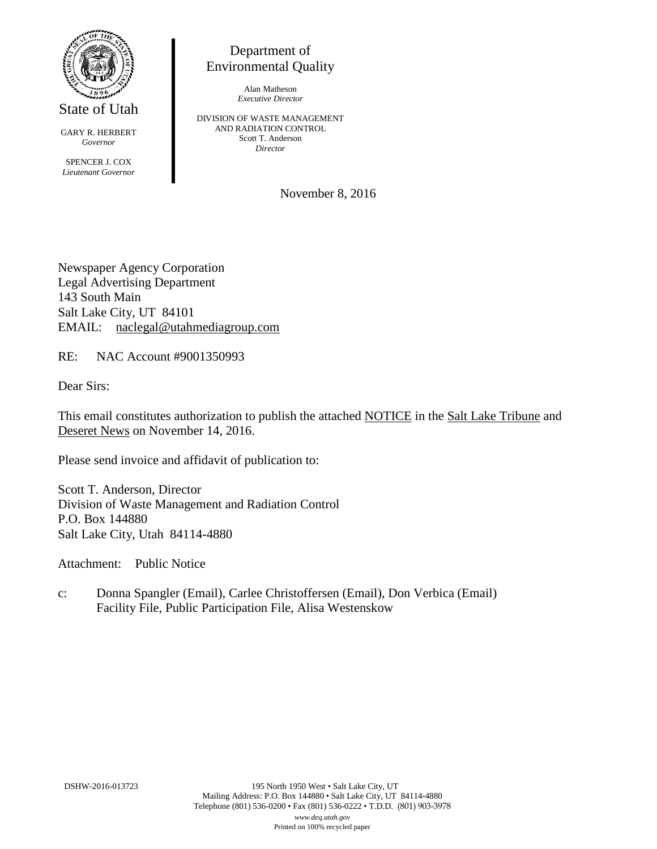

State of Utah

GARY R. HERBERT *Governor* SPENCER J. COX *Lieutenant Governor*

Department of Environmental Quality

> Alan Matheson *Executive Director*

DIVISION OF WASTE MANAGEMENT AND RADIATION CONTROL Scott T. Anderson *Director*

November 8, 2016

Newspaper Agency Corporation Legal Advertising Department 143 South Main Salt Lake City, UT 84101 EMAIL: naclegal@utahmediagroup.com

RE: NAC Account #9001350993

Dear Sirs:

This email constitutes authorization to publish the attached NOTICE in the Salt Lake Tribune and Deseret News on November 14, 2016.

Please send invoice and affidavit of publication to:

Scott T. Anderson, Director Division of Waste Management and Radiation Control P.O. Box 144880 Salt Lake City, Utah 84114-4880

Attachment: Public Notice

c: Donna Spangler (Email), Carlee Christoffersen (Email), Don Verbica (Email) Facility File, Public Participation File, Alisa Westenskow